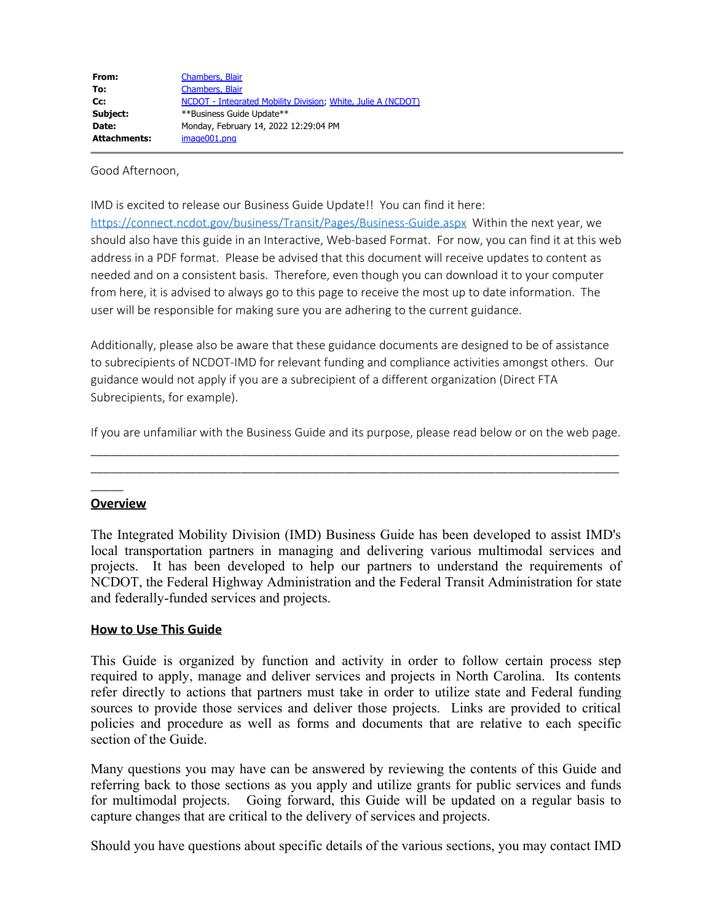| From:               | Chambers, Blair                                              |
|---------------------|--------------------------------------------------------------|
| To:                 | Chambers, Blair                                              |
| $Cc$ :              | NCDOT - Integrated Mobility Division, White, Julie A (NCDOT) |
| Subject:            | **Business Guide Update**                                    |
| Date:               | Monday, February 14, 2022 12:29:04 PM                        |
| <b>Attachments:</b> | image001.png                                                 |

Good Afternoon,

IMD is excited to release our Business Guide Update!! You can find it here:

<https://connect.ncdot.gov/business/Transit/Pages/Business-Guide.aspx> Within the next year, we should also have this guide in an Interactive, Web-based Format. For now, you can find it at this web address in a PDF format. Please be advised that this document will receive updates to content as needed and on a consistent basis. Therefore, even though you can download it to your computer from here, it is advised to always go to this page to receive the most up to date information. The user will be responsible for making sure you are adhering to the current guidance.

Additionally, please also be aware that these guidance documents are designed to be of assistance to subrecipients of NCDOT-IMD for relevant funding and compliance activities amongst others. Our guidance would not apply if you are a subrecipient of a different organization (Direct FTA Subrecipients, for example).

If you are unfamiliar with the Business Guide and its purpose, please read below or on the web page. \_\_\_\_\_\_\_\_\_\_\_\_\_\_\_\_\_\_\_\_\_\_\_\_\_\_\_\_\_\_\_\_\_\_\_\_\_\_\_\_\_\_\_\_\_\_\_\_\_\_\_\_\_\_\_\_\_\_\_\_\_\_\_\_\_\_\_\_\_\_\_\_\_\_\_\_\_\_\_\_\_

\_\_\_\_\_\_\_\_\_\_\_\_\_\_\_\_\_\_\_\_\_\_\_\_\_\_\_\_\_\_\_\_\_\_\_\_\_\_\_\_\_\_\_\_\_\_\_\_\_\_\_\_\_\_\_\_\_\_\_\_\_\_\_\_\_\_\_\_\_\_\_\_\_\_\_\_\_\_\_\_\_

## **Overview**

 $\overline{\phantom{a}}$ 

The Integrated Mobility Division (IMD) Business Guide has been developed to assist IMD's local transportation partners in managing and delivering various multimodal services and projects. It has been developed to help our partners to understand the requirements of NCDOT, the Federal Highway Administration and the Federal Transit Administration for state and federally-funded services and projects.

## **How to Use This Guide**

This Guide is organized by function and activity in order to follow certain process step required to apply, manage and deliver services and projects in North Carolina. Its contents refer directly to actions that partners must take in order to utilize state and Federal funding sources to provide those services and deliver those projects. Links are provided to critical policies and procedure as well as forms and documents that are relative to each specific section of the Guide.

Many questions you may have can be answered by reviewing the contents of this Guide and referring back to those sections as you apply and utilize grants for public services and funds for multimodal projects. Going forward, this Guide will be updated on a regular basis to capture changes that are critical to the delivery of services and projects.

Should you have questions about specific details of the various sections, you may contact IMD